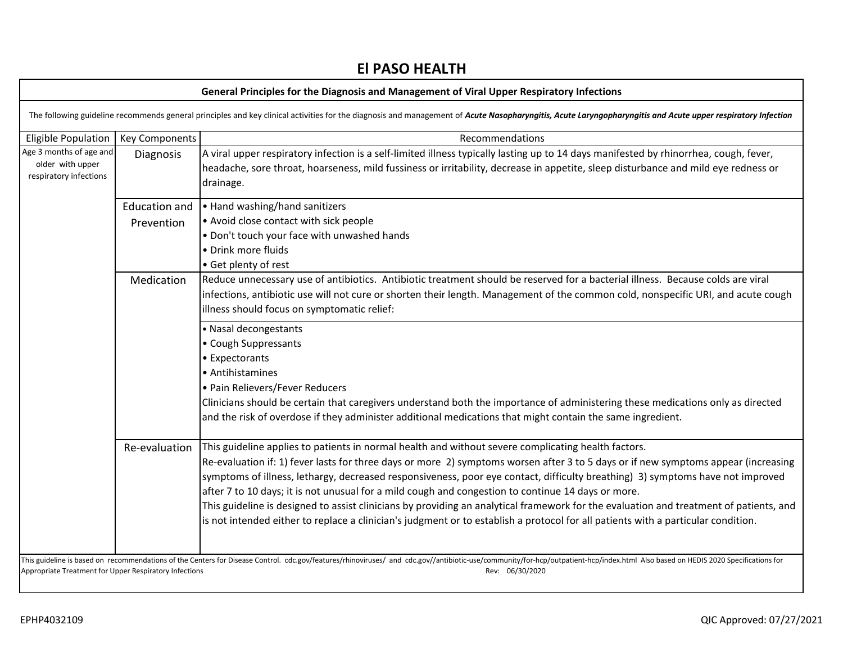# **El PASO HEALTH**

| General Principles for the Diagnosis and Management of Viral Upper Respiratory Infections                                                                                                                                                                                                                  |                       |                                                                                                                                                                                                                                                                                                                     |
|------------------------------------------------------------------------------------------------------------------------------------------------------------------------------------------------------------------------------------------------------------------------------------------------------------|-----------------------|---------------------------------------------------------------------------------------------------------------------------------------------------------------------------------------------------------------------------------------------------------------------------------------------------------------------|
| The following guideline recommends general principles and key clinical activities for the diagnosis and management of Acute Nasopharyngitis, Acute Laryngopharyngitis and Acute upper respiratory Infection                                                                                                |                       |                                                                                                                                                                                                                                                                                                                     |
| <b>Eligible Population</b>                                                                                                                                                                                                                                                                                 | <b>Key Components</b> | Recommendations                                                                                                                                                                                                                                                                                                     |
| Age 3 months of age and<br>older with upper<br>respiratory infections                                                                                                                                                                                                                                      | <b>Diagnosis</b>      | A viral upper respiratory infection is a self-limited illness typically lasting up to 14 days manifested by rhinorrhea, cough, fever,<br>headache, sore throat, hoarseness, mild fussiness or irritability, decrease in appetite, sleep disturbance and mild eye redness or<br>drainage.                            |
|                                                                                                                                                                                                                                                                                                            |                       | Education and $\vert \cdot \vert$ Hand washing/hand sanitizers                                                                                                                                                                                                                                                      |
|                                                                                                                                                                                                                                                                                                            | Prevention            | • Avoid close contact with sick people                                                                                                                                                                                                                                                                              |
|                                                                                                                                                                                                                                                                                                            |                       | . Don't touch your face with unwashed hands                                                                                                                                                                                                                                                                         |
|                                                                                                                                                                                                                                                                                                            |                       | • Drink more fluids                                                                                                                                                                                                                                                                                                 |
|                                                                                                                                                                                                                                                                                                            |                       | • Get plenty of rest                                                                                                                                                                                                                                                                                                |
|                                                                                                                                                                                                                                                                                                            | Medication            | Reduce unnecessary use of antibiotics. Antibiotic treatment should be reserved for a bacterial illness. Because colds are viral<br>infections, antibiotic use will not cure or shorten their length. Management of the common cold, nonspecific URI, and acute cough<br>illness should focus on symptomatic relief: |
|                                                                                                                                                                                                                                                                                                            |                       | • Nasal decongestants                                                                                                                                                                                                                                                                                               |
|                                                                                                                                                                                                                                                                                                            |                       | • Cough Suppressants                                                                                                                                                                                                                                                                                                |
|                                                                                                                                                                                                                                                                                                            |                       | • Expectorants                                                                                                                                                                                                                                                                                                      |
|                                                                                                                                                                                                                                                                                                            |                       | • Antihistamines                                                                                                                                                                                                                                                                                                    |
|                                                                                                                                                                                                                                                                                                            |                       | · Pain Relievers/Fever Reducers                                                                                                                                                                                                                                                                                     |
|                                                                                                                                                                                                                                                                                                            |                       | Clinicians should be certain that caregivers understand both the importance of administering these medications only as directed<br>and the risk of overdose if they administer additional medications that might contain the same ingredient.                                                                       |
|                                                                                                                                                                                                                                                                                                            | Re-evaluation         | This guideline applies to patients in normal health and without severe complicating health factors.                                                                                                                                                                                                                 |
|                                                                                                                                                                                                                                                                                                            |                       | Re-evaluation if: 1) fever lasts for three days or more 2) symptoms worsen after 3 to 5 days or if new symptoms appear (increasing                                                                                                                                                                                  |
|                                                                                                                                                                                                                                                                                                            |                       | symptoms of illness, lethargy, decreased responsiveness, poor eye contact, difficulty breathing) 3) symptoms have not improved                                                                                                                                                                                      |
|                                                                                                                                                                                                                                                                                                            |                       | after 7 to 10 days; it is not unusual for a mild cough and congestion to continue 14 days or more.                                                                                                                                                                                                                  |
|                                                                                                                                                                                                                                                                                                            |                       | This guideline is designed to assist clinicians by providing an analytical framework for the evaluation and treatment of patients, and                                                                                                                                                                              |
|                                                                                                                                                                                                                                                                                                            |                       | is not intended either to replace a clinician's judgment or to establish a protocol for all patients with a particular condition.                                                                                                                                                                                   |
|                                                                                                                                                                                                                                                                                                            |                       |                                                                                                                                                                                                                                                                                                                     |
| This guideline is based on recommendations of the Centers for Disease Control. cdc.gov/features/rhinoviruses/ and cdc.gov//antibiotic-use/community/for-hcp/outpatient-hcp/index.html Also based on HEDIS 2020 Specifications<br>Appropriate Treatment for Upper Respiratory Infections<br>Rev: 06/30/2020 |                       |                                                                                                                                                                                                                                                                                                                     |